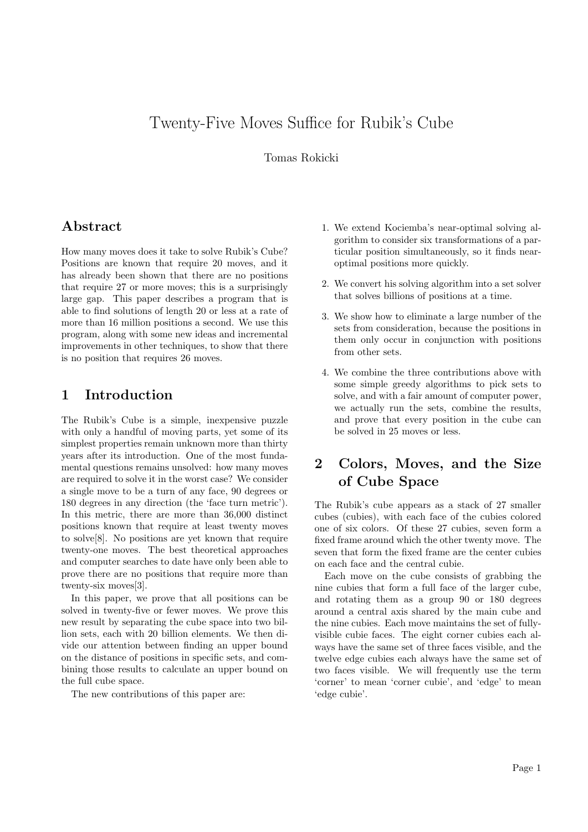# Twenty-Five Moves Suffice for Rubik's Cube

Tomas Rokicki

#### Abstract

How many moves does it take to solve Rubik's Cube? Positions are known that require 20 moves, and it has already been shown that there are no positions that require 27 or more moves; this is a surprisingly large gap. This paper describes a program that is able to find solutions of length 20 or less at a rate of more than 16 million positions a second. We use this program, along with some new ideas and incremental improvements in other techniques, to show that there is no position that requires 26 moves.

#### 1 Introduction

The Rubik's Cube is a simple, inexpensive puzzle with only a handful of moving parts, yet some of its simplest properties remain unknown more than thirty years after its introduction. One of the most fundamental questions remains unsolved: how many moves are required to solve it in the worst case? We consider a single move to be a turn of any face, 90 degrees or 180 degrees in any direction (the 'face turn metric'). In this metric, there are more than 36,000 distinct positions known that require at least twenty moves to solve[8]. No positions are yet known that require twenty-one moves. The best theoretical approaches and computer searches to date have only been able to prove there are no positions that require more than twenty-six moves[3].

In this paper, we prove that all positions can be solved in twenty-five or fewer moves. We prove this new result by separating the cube space into two billion sets, each with 20 billion elements. We then divide our attention between finding an upper bound on the distance of positions in specific sets, and combining those results to calculate an upper bound on the full cube space.

The new contributions of this paper are:

- 1. We extend Kociemba's near-optimal solving algorithm to consider six transformations of a particular position simultaneously, so it finds nearoptimal positions more quickly.
- 2. We convert his solving algorithm into a set solver that solves billions of positions at a time.
- 3. We show how to eliminate a large number of the sets from consideration, because the positions in them only occur in conjunction with positions from other sets.
- 4. We combine the three contributions above with some simple greedy algorithms to pick sets to solve, and with a fair amount of computer power, we actually run the sets, combine the results, and prove that every position in the cube can be solved in 25 moves or less.

## 2 Colors, Moves, and the Size of Cube Space

The Rubik's cube appears as a stack of 27 smaller cubes (cubies), with each face of the cubies colored one of six colors. Of these 27 cubies, seven form a fixed frame around which the other twenty move. The seven that form the fixed frame are the center cubies on each face and the central cubie.

Each move on the cube consists of grabbing the nine cubies that form a full face of the larger cube, and rotating them as a group 90 or 180 degrees around a central axis shared by the main cube and the nine cubies. Each move maintains the set of fullyvisible cubie faces. The eight corner cubies each always have the same set of three faces visible, and the twelve edge cubies each always have the same set of two faces visible. We will frequently use the term 'corner' to mean 'corner cubie', and 'edge' to mean 'edge cubie'.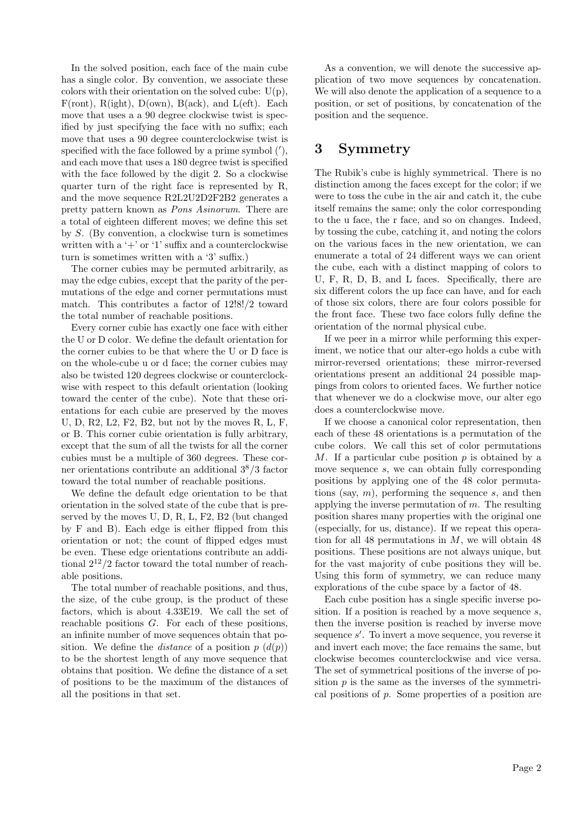In the solved position, each face of the main cube has a single color. By convention, we associate these colors with their orientation on the solved cube:  $U(p)$ ,  $F(ront), R(ight), D(own), B(ack), and L(eft).$  Each move that uses a a 90 degree clockwise twist is specified by just specifying the face with no suffix; each move that uses a 90 degree counterclockwise twist is specified with the face followed by a prime symbol  $('),$ and each move that uses a 180 degree twist is specified with the face followed by the digit 2. So a clockwise quarter turn of the right face is represented by R, and the move sequence R2L2U2D2F2B2 generates a pretty pattern known as Pons Asinorum. There are a total of eighteen different moves; we define this set by S. (By convention, a clockwise turn is sometimes written with a  $'$  +  $'$  or  $'$ 1' suffix and a counterclockwise turn is sometimes written with a '3' suffix.)

The corner cubies may be permuted arbitrarily, as may the edge cubies, except that the parity of the permutations of the edge and corner permutations must match. This contributes a factor of 12!8!/2 toward the total number of reachable positions.

Every corner cubie has exactly one face with either the U or D color. We define the default orientation for the corner cubies to be that where the U or D face is on the whole-cube u or d face; the corner cubies may also be twisted 120 degrees clockwise or counterclockwise with respect to this default orientation (looking toward the center of the cube). Note that these orientations for each cubie are preserved by the moves U, D, R2, L2, F2, B2, but not by the moves R, L, F, or B. This corner cubie orientation is fully arbitrary, except that the sum of all the twists for all the corner cubies must be a multiple of 360 degrees. These corner orientations contribute an additional  $3<sup>8</sup>/3$  factor toward the total number of reachable positions.

We define the default edge orientation to be that orientation in the solved state of the cube that is preserved by the moves U, D, R, L, F2, B2 (but changed by F and B). Each edge is either flipped from this orientation or not; the count of flipped edges must be even. These edge orientations contribute an additional  $2^{12}/2$  factor toward the total number of reachable positions.

The total number of reachable positions, and thus, the size, of the cube group, is the product of these factors, which is about 4.33E19. We call the set of reachable positions  $G$ . For each of these positions, an infinite number of move sequences obtain that position. We define the *distance* of a position  $p(d(p))$ to be the shortest length of any move sequence that obtains that position. We define the distance of a set of positions to be the maximum of the distances of all the positions in that set.

As a convention, we will denote the successive application of two move sequences by concatenation. We will also denote the application of a sequence to a position, or set of positions, by concatenation of the position and the sequence.

### 3 Symmetry

The Rubik's cube is highly symmetrical. There is no distinction among the faces except for the color; if we were to toss the cube in the air and catch it, the cube itself remains the same; only the color corresponding to the u face, the r face, and so on changes. Indeed, by tossing the cube, catching it, and noting the colors on the various faces in the new orientation, we can enumerate a total of 24 different ways we can orient the cube, each with a distinct mapping of colors to U, F, R, D, B, and L faces. Specifically, there are six different colors the up face can have, and for each of those six colors, there are four colors possible for the front face. These two face colors fully define the orientation of the normal physical cube.

If we peer in a mirror while performing this experiment, we notice that our alter-ego holds a cube with mirror-reversed orientations; these mirror-reversed orientations present an additional 24 possible mappings from colors to oriented faces. We further notice that whenever we do a clockwise move, our alter ego does a counterclockwise move.

If we choose a canonical color representation, then each of these 48 orientations is a permutation of the cube colors. We call this set of color permutations  $M$ . If a particular cube position  $p$  is obtained by a move sequence s, we can obtain fully corresponding positions by applying one of the 48 color permutations (say,  $m$ ), performing the sequence s, and then applying the inverse permutation of  $m$ . The resulting position shares many properties with the original one (especially, for us, distance). If we repeat this operation for all 48 permutations in  $M$ , we will obtain 48 positions. These positions are not always unique, but for the vast majority of cube positions they will be. Using this form of symmetry, we can reduce many explorations of the cube space by a factor of 48.

Each cube position has a single specific inverse position. If a position is reached by a move sequence s, then the inverse position is reached by inverse move sequence s'. To invert a move sequence, you reverse it and invert each move; the face remains the same, but clockwise becomes counterclockwise and vice versa. The set of symmetrical positions of the inverse of position  $p$  is the same as the inverses of the symmetrical positions of p. Some properties of a position are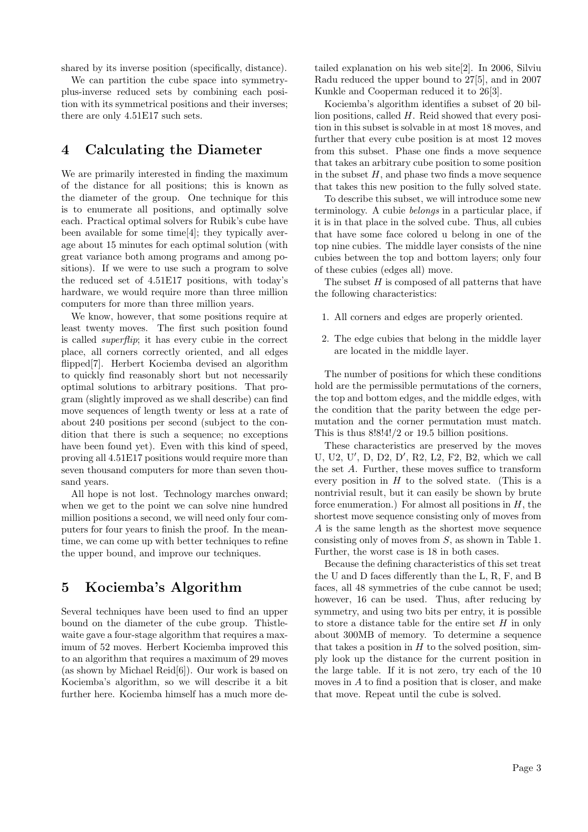shared by its inverse position (specifically, distance).

We can partition the cube space into symmetryplus-inverse reduced sets by combining each position with its symmetrical positions and their inverses; there are only 4.51E17 such sets.

#### 4 Calculating the Diameter

We are primarily interested in finding the maximum of the distance for all positions; this is known as the diameter of the group. One technique for this is to enumerate all positions, and optimally solve each. Practical optimal solvers for Rubik's cube have been available for some time[4]; they typically average about 15 minutes for each optimal solution (with great variance both among programs and among positions). If we were to use such a program to solve the reduced set of 4.51E17 positions, with today's hardware, we would require more than three million computers for more than three million years.

We know, however, that some positions require at least twenty moves. The first such position found is called superflip; it has every cubie in the correct place, all corners correctly oriented, and all edges flipped[7]. Herbert Kociemba devised an algorithm to quickly find reasonably short but not necessarily optimal solutions to arbitrary positions. That program (slightly improved as we shall describe) can find move sequences of length twenty or less at a rate of about 240 positions per second (subject to the condition that there is such a sequence; no exceptions have been found yet). Even with this kind of speed, proving all 4.51E17 positions would require more than seven thousand computers for more than seven thousand years.

All hope is not lost. Technology marches onward; when we get to the point we can solve nine hundred million positions a second, we will need only four computers for four years to finish the proof. In the meantime, we can come up with better techniques to refine the upper bound, and improve our techniques.

## 5 Kociemba's Algorithm

Several techniques have been used to find an upper bound on the diameter of the cube group. Thistlewaite gave a four-stage algorithm that requires a maximum of 52 moves. Herbert Kociemba improved this to an algorithm that requires a maximum of 29 moves (as shown by Michael Reid[6]). Our work is based on Kociemba's algorithm, so we will describe it a bit further here. Kociemba himself has a much more de-

tailed explanation on his web site[2]. In 2006, Silviu Radu reduced the upper bound to 27[5], and in 2007 Kunkle and Cooperman reduced it to 26[3].

Kociemba's algorithm identifies a subset of 20 billion positions, called H. Reid showed that every position in this subset is solvable in at most 18 moves, and further that every cube position is at most 12 moves from this subset. Phase one finds a move sequence that takes an arbitrary cube position to some position in the subset  $H$ , and phase two finds a move sequence that takes this new position to the fully solved state.

To describe this subset, we will introduce some new terminology. A cubie belongs in a particular place, if it is in that place in the solved cube. Thus, all cubies that have some face colored u belong in one of the top nine cubies. The middle layer consists of the nine cubies between the top and bottom layers; only four of these cubies (edges all) move.

The subset  $H$  is composed of all patterns that have the following characteristics:

- 1. All corners and edges are properly oriented.
- 2. The edge cubies that belong in the middle layer are located in the middle layer.

The number of positions for which these conditions hold are the permissible permutations of the corners, the top and bottom edges, and the middle edges, with the condition that the parity between the edge permutation and the corner permutation must match. This is thus 8!8!4!/2 or 19.5 billion positions.

These characteristics are preserved by the moves U, U2, U', D, D2, D', R2, L2, F2, B2, which we call the set A. Further, these moves suffice to transform every position in  $H$  to the solved state. (This is a nontrivial result, but it can easily be shown by brute force enumeration.) For almost all positions in  $H$ , the shortest move sequence consisting only of moves from A is the same length as the shortest move sequence consisting only of moves from S, as shown in Table 1. Further, the worst case is 18 in both cases.

Because the defining characteristics of this set treat the U and D faces differently than the L, R, F, and B faces, all 48 symmetries of the cube cannot be used; however, 16 can be used. Thus, after reducing by symmetry, and using two bits per entry, it is possible to store a distance table for the entire set  $H$  in only about 300MB of memory. To determine a sequence that takes a position in  $H$  to the solved position, simply look up the distance for the current position in the large table. If it is not zero, try each of the 10 moves in A to find a position that is closer, and make that move. Repeat until the cube is solved.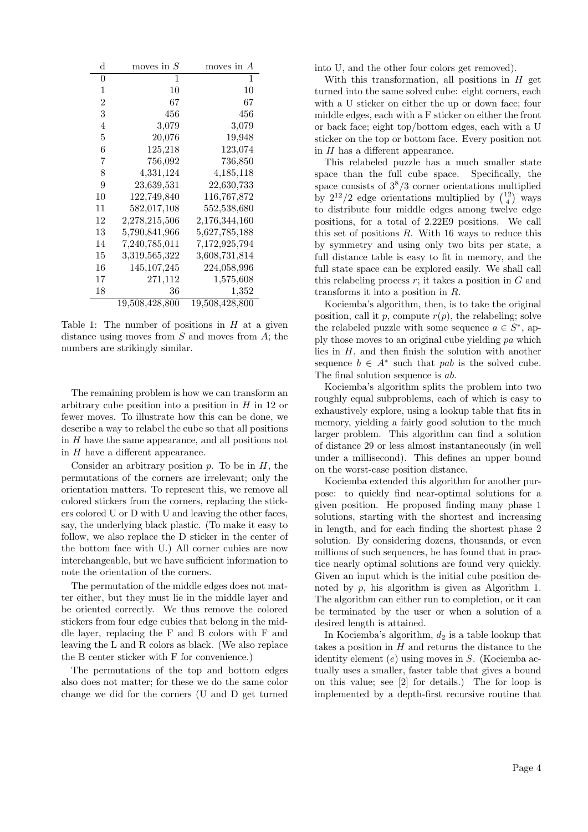| d              | moves in $S$   | moves in A     |
|----------------|----------------|----------------|
| 0              | 1              | 1              |
| 1              | 10             | 10             |
| $\overline{2}$ | 67             | 67             |
| 3              | 456            | 456            |
| $\overline{4}$ | 3,079          | 3,079          |
| 5              | 20,076         | 19,948         |
| 6              | 125,218        | 123,074        |
| 7              | 756,092        | 736,850        |
| 8              | 4,331,124      | 4,185,118      |
| 9              | 23,639,531     | 22,630,733     |
| 10             | 122,749,840    | 116,767,872    |
| 11             | 582,017,108    | 552,538,680    |
| 12             | 2,278,215,506  | 2,176,344,160  |
| 13             | 5.790.841.966  | 5.627.785.188  |
| 14             | 7,240,785,011  | 7,172,925,794  |
| 15             | 3,319,565,322  | 3.608.731.814  |
| 16             | 145, 107, 245  | 224,058,996    |
| 17             | 271,112        | 1,575,608      |
| 18             | 36             | 1,352          |
|                | 19,508,428,800 | 19,508,428,800 |

Table 1: The number of positions in  $H$  at a given distance using moves from  $S$  and moves from  $A$ ; the numbers are strikingly similar.

The remaining problem is how we can transform an arbitrary cube position into a position in  $H$  in 12 or fewer moves. To illustrate how this can be done, we describe a way to relabel the cube so that all positions in H have the same appearance, and all positions not in H have a different appearance.

Consider an arbitrary position  $p$ . To be in  $H$ , the permutations of the corners are irrelevant; only the orientation matters. To represent this, we remove all colored stickers from the corners, replacing the stickers colored U or D with U and leaving the other faces, say, the underlying black plastic. (To make it easy to follow, we also replace the D sticker in the center of the bottom face with U.) All corner cubies are now interchangeable, but we have sufficient information to note the orientation of the corners.

The permutation of the middle edges does not matter either, but they must lie in the middle layer and be oriented correctly. We thus remove the colored stickers from four edge cubies that belong in the middle layer, replacing the F and B colors with F and leaving the L and R colors as black. (We also replace the B center sticker with F for convenience.)

The permutations of the top and bottom edges also does not matter; for these we do the same color change we did for the corners (U and D get turned into U, and the other four colors get removed).

With this transformation, all positions in  $H$  get turned into the same solved cube: eight corners, each with a U sticker on either the up or down face; four middle edges, each with a F sticker on either the front or back face; eight top/bottom edges, each with a U sticker on the top or bottom face. Every position not in H has a different appearance.

This relabeled puzzle has a much smaller state space than the full cube space. Specifically, the space consists of  $3^8/3$  corner orientations multiplied by  $2^{12}/2$  edge orientations multiplied by  $\binom{12}{4}$  ways to distribute four middle edges among twelve edge positions, for a total of 2.22E9 positions. We call this set of positions  $R$ . With 16 ways to reduce this by symmetry and using only two bits per state, a full distance table is easy to fit in memory, and the full state space can be explored easily. We shall call this relabeling process  $r$ ; it takes a position in  $G$  and transforms it into a position in R.

Kociemba's algorithm, then, is to take the original position, call it p, compute  $r(p)$ , the relabeling; solve the relabeled puzzle with some sequence  $a \in S^*$ , apply those moves to an original cube yielding pa which lies in  $H$ , and then finish the solution with another sequence  $b \in A^*$  such that pab is the solved cube. The final solution sequence is ab.

Kociemba's algorithm splits the problem into two roughly equal subproblems, each of which is easy to exhaustively explore, using a lookup table that fits in memory, yielding a fairly good solution to the much larger problem. This algorithm can find a solution of distance 29 or less almost instantaneously (in well under a millisecond). This defines an upper bound on the worst-case position distance.

Kociemba extended this algorithm for another purpose: to quickly find near-optimal solutions for a given position. He proposed finding many phase 1 solutions, starting with the shortest and increasing in length, and for each finding the shortest phase 2 solution. By considering dozens, thousands, or even millions of such sequences, he has found that in practice nearly optimal solutions are found very quickly. Given an input which is the initial cube position denoted by  $p$ , his algorithm is given as Algorithm 1. The algorithm can either run to completion, or it can be terminated by the user or when a solution of a desired length is attained.

In Kociemba's algorithm,  $d_2$  is a table lookup that takes a position in  $H$  and returns the distance to the identity element  $(e)$  using moves in S. (Kociemba actually uses a smaller, faster table that gives a bound on this value; see [2] for details.) The for loop is implemented by a depth-first recursive routine that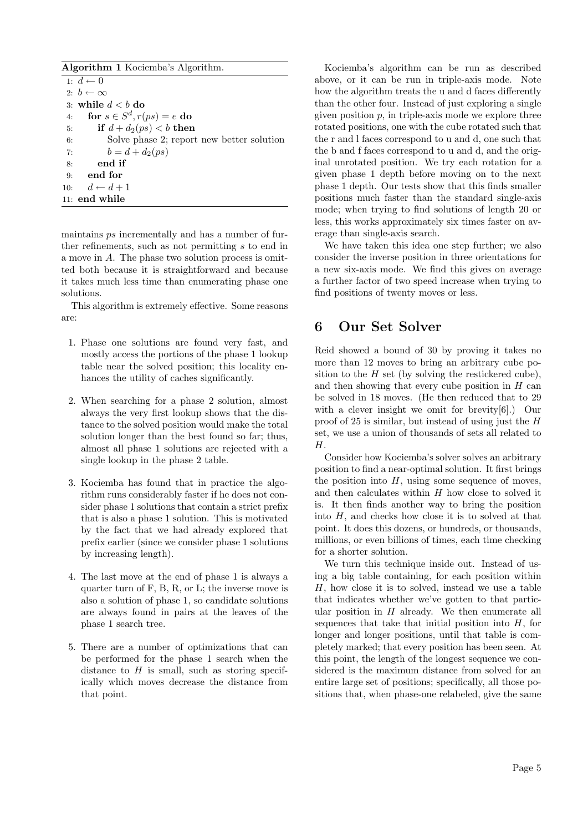#### Algorithm 1 Kociemba's Algorithm.

1:  $d \leftarrow 0$ 2:  $b \leftarrow \infty$ 3: while  $d < b$  do 4: for  $s \in S^d, r(ps) = e$  do 5: if  $d + d_2(ps) < b$  then 6: Solve phase 2; report new better solution 7:  $b = d + d_2(ps)$ 8: end if 9: end for 10:  $d \leftarrow d + 1$ 11: end while

maintains ps incrementally and has a number of further refinements, such as not permitting s to end in a move in A. The phase two solution process is omitted both because it is straightforward and because it takes much less time than enumerating phase one solutions.

This algorithm is extremely effective. Some reasons are:

- 1. Phase one solutions are found very fast, and mostly access the portions of the phase 1 lookup table near the solved position; this locality enhances the utility of caches significantly.
- 2. When searching for a phase 2 solution, almost always the very first lookup shows that the distance to the solved position would make the total solution longer than the best found so far; thus, almost all phase 1 solutions are rejected with a single lookup in the phase 2 table.
- 3. Kociemba has found that in practice the algorithm runs considerably faster if he does not consider phase 1 solutions that contain a strict prefix that is also a phase 1 solution. This is motivated by the fact that we had already explored that prefix earlier (since we consider phase 1 solutions by increasing length).
- 4. The last move at the end of phase 1 is always a quarter turn of F, B, R, or L; the inverse move is also a solution of phase 1, so candidate solutions are always found in pairs at the leaves of the phase 1 search tree.
- 5. There are a number of optimizations that can be performed for the phase 1 search when the distance to  $H$  is small, such as storing specifically which moves decrease the distance from that point.

Kociemba's algorithm can be run as described above, or it can be run in triple-axis mode. Note how the algorithm treats the u and d faces differently than the other four. Instead of just exploring a single given position  $p$ , in triple-axis mode we explore three rotated positions, one with the cube rotated such that the r and l faces correspond to u and d, one such that the b and f faces correspond to u and d, and the original unrotated position. We try each rotation for a given phase 1 depth before moving on to the next phase 1 depth. Our tests show that this finds smaller positions much faster than the standard single-axis mode; when trying to find solutions of length 20 or less, this works approximately six times faster on average than single-axis search.

We have taken this idea one step further; we also consider the inverse position in three orientations for a new six-axis mode. We find this gives on average a further factor of two speed increase when trying to find positions of twenty moves or less.

### 6 Our Set Solver

Reid showed a bound of 30 by proving it takes no more than 12 moves to bring an arbitrary cube position to the  $H$  set (by solving the restickered cube). and then showing that every cube position in  $H$  can be solved in 18 moves. (He then reduced that to 29 with a clever insight we omit for brevity[6].) Our proof of 25 is similar, but instead of using just the H set, we use a union of thousands of sets all related to H.

Consider how Kociemba's solver solves an arbitrary position to find a near-optimal solution. It first brings the position into  $H$ , using some sequence of moves, and then calculates within  $H$  how close to solved it is. It then finds another way to bring the position into  $H$ , and checks how close it is to solved at that point. It does this dozens, or hundreds, or thousands, millions, or even billions of times, each time checking for a shorter solution.

We turn this technique inside out. Instead of using a big table containing, for each position within  $H$ , how close it is to solved, instead we use a table that indicates whether we've gotten to that particular position in  $H$  already. We then enumerate all sequences that take that initial position into  $H$ , for longer and longer positions, until that table is completely marked; that every position has been seen. At this point, the length of the longest sequence we considered is the maximum distance from solved for an entire large set of positions; specifically, all those positions that, when phase-one relabeled, give the same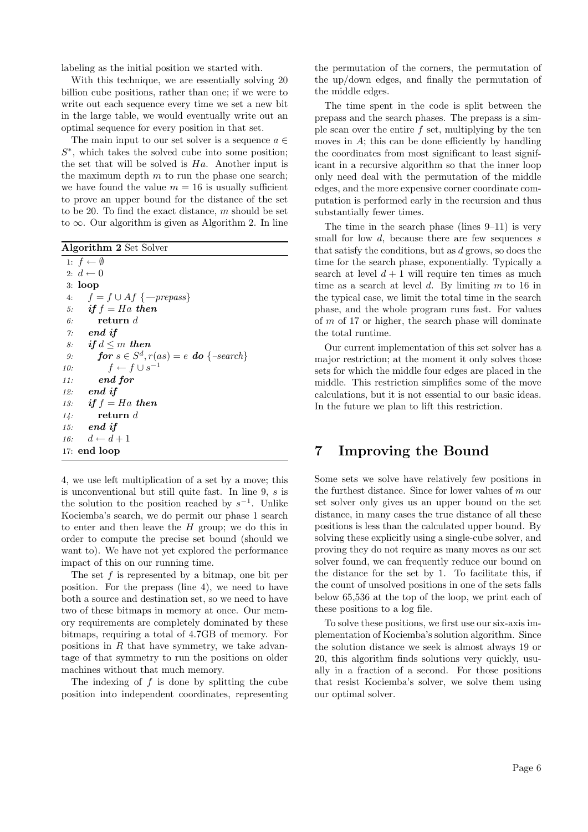labeling as the initial position we started with.

With this technique, we are essentially solving 20 billion cube positions, rather than one; if we were to write out each sequence every time we set a new bit in the large table, we would eventually write out an optimal sequence for every position in that set.

The main input to our set solver is a sequence  $a \in \mathbb{R}$ S ∗ , which takes the solved cube into some position; the set that will be solved is  $Ha$ . Another input is the maximum depth  $m$  to run the phase one search; we have found the value  $m = 16$  is usually sufficient to prove an upper bound for the distance of the set to be 20. To find the exact distance,  $m$  should be set to  $\infty$ . Our algorithm is given as Algorithm 2. In line

| <b>Algorithm 2</b> Set Solver                        |  |  |
|------------------------------------------------------|--|--|
| 1: $f \leftarrow \emptyset$                          |  |  |
| 2: $d \leftarrow 0$                                  |  |  |
| $3:$ loop                                            |  |  |
| 4: $f = f \cup Af \{-prepass\}$                      |  |  |
| 5. if $f = Ha$ then                                  |  |  |
| return $d$<br>6:                                     |  |  |
| $\gamma$ end if                                      |  |  |
| 8: if $d \leq m$ then                                |  |  |
| for $s \in S^d$ , $r(as) = e$ do $\{-search\}$<br>9: |  |  |
| $f \leftarrow f \cup s^{-1}$<br>10:                  |  |  |
| end for<br>11:                                       |  |  |
| end if<br>12:                                        |  |  |
| 13: if $f = Ha$ then                                 |  |  |
| return $d$<br>14:                                    |  |  |
| $15:$ end if                                         |  |  |
| 16: $d \leftarrow d+1$                               |  |  |
| $17:$ end loop                                       |  |  |

4, we use left multiplication of a set by a move; this is unconventional but still quite fast. In line 9, s is the solution to the position reached by  $s^{-1}$ . Unlike Kociemba's search, we do permit our phase 1 search to enter and then leave the H group; we do this in order to compute the precise set bound (should we want to). We have not yet explored the performance impact of this on our running time.

The set  $f$  is represented by a bitmap, one bit per position. For the prepass (line 4), we need to have both a source and destination set, so we need to have two of these bitmaps in memory at once. Our memory requirements are completely dominated by these bitmaps, requiring a total of 4.7GB of memory. For positions in  $R$  that have symmetry, we take advantage of that symmetry to run the positions on older machines without that much memory.

The indexing of  $f$  is done by splitting the cube position into independent coordinates, representing the permutation of the corners, the permutation of the up/down edges, and finally the permutation of the middle edges.

The time spent in the code is split between the prepass and the search phases. The prepass is a simple scan over the entire  $f$  set, multiplying by the ten moves in A; this can be done efficiently by handling the coordinates from most significant to least significant in a recursive algorithm so that the inner loop only need deal with the permutation of the middle edges, and the more expensive corner coordinate computation is performed early in the recursion and thus substantially fewer times.

The time in the search phase (lines 9–11) is very small for low d, because there are few sequences s that satisfy the conditions, but as  $d$  grows, so does the time for the search phase, exponentially. Typically a search at level  $d + 1$  will require ten times as much time as a search at level  $d$ . By limiting  $m$  to 16 in the typical case, we limit the total time in the search phase, and the whole program runs fast. For values of  $m$  of 17 or higher, the search phase will dominate the total runtime.

Our current implementation of this set solver has a major restriction; at the moment it only solves those sets for which the middle four edges are placed in the middle. This restriction simplifies some of the move calculations, but it is not essential to our basic ideas. In the future we plan to lift this restriction.

#### 7 Improving the Bound

Some sets we solve have relatively few positions in the furthest distance. Since for lower values of m our set solver only gives us an upper bound on the set distance, in many cases the true distance of all these positions is less than the calculated upper bound. By solving these explicitly using a single-cube solver, and proving they do not require as many moves as our set solver found, we can frequently reduce our bound on the distance for the set by 1. To facilitate this, if the count of unsolved positions in one of the sets falls below 65,536 at the top of the loop, we print each of these positions to a log file.

To solve these positions, we first use our six-axis implementation of Kociemba's solution algorithm. Since the solution distance we seek is almost always 19 or 20, this algorithm finds solutions very quickly, usually in a fraction of a second. For those positions that resist Kociemba's solver, we solve them using our optimal solver.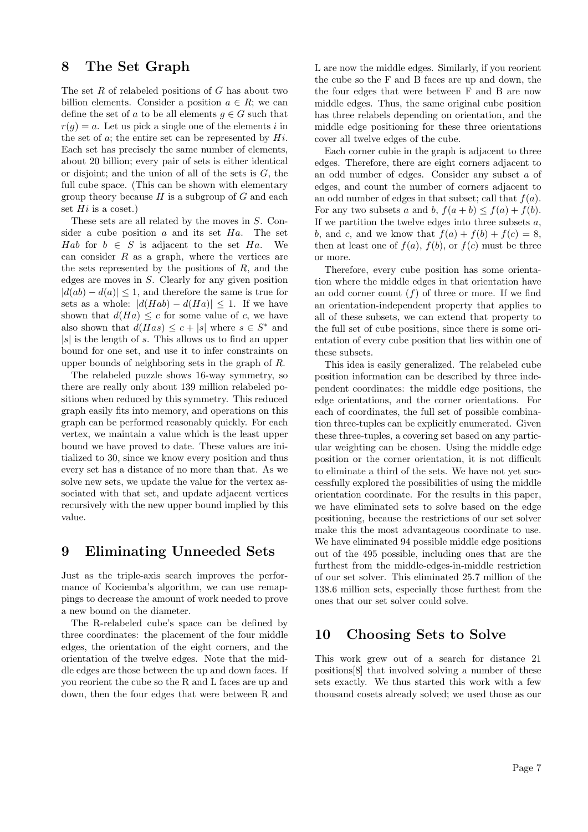#### 8 The Set Graph

The set  $R$  of relabeled positions of  $G$  has about two billion elements. Consider a position  $a \in R$ ; we can define the set of a to be all elements  $q \in G$  such that  $r(q) = a$ . Let us pick a single one of the elements i in the set of  $a$ ; the entire set can be represented by  $Hi$ . Each set has precisely the same number of elements, about 20 billion; every pair of sets is either identical or disjoint; and the union of all of the sets is  $G$ , the full cube space. (This can be shown with elementary group theory because  $H$  is a subgroup of  $G$  and each set  $Hi$  is a coset.)

These sets are all related by the moves in S. Consider a cube position  $a$  and its set  $Ha$ . The set Hab for  $b \in S$  is adjacent to the set Ha. We can consider  $R$  as a graph, where the vertices are the sets represented by the positions of  $R$ , and the edges are moves in S. Clearly for any given position  $|d(ab) - d(a)| \leq 1$ , and therefore the same is true for sets as a whole:  $|d(Hab) - d(Ha)| \leq 1$ . If we have shown that  $d(Ha) \leq c$  for some value of c, we have also shown that  $d(Has) \leq c + |s|$  where  $s \in S^*$  and  $|s|$  is the length of s. This allows us to find an upper bound for one set, and use it to infer constraints on upper bounds of neighboring sets in the graph of R.

The relabeled puzzle shows 16-way symmetry, so there are really only about 139 million relabeled positions when reduced by this symmetry. This reduced graph easily fits into memory, and operations on this graph can be performed reasonably quickly. For each vertex, we maintain a value which is the least upper bound we have proved to date. These values are initialized to 30, since we know every position and thus every set has a distance of no more than that. As we solve new sets, we update the value for the vertex associated with that set, and update adjacent vertices recursively with the new upper bound implied by this value.

#### 9 Eliminating Unneeded Sets

Just as the triple-axis search improves the performance of Kociemba's algorithm, we can use remappings to decrease the amount of work needed to prove a new bound on the diameter.

The R-relabeled cube's space can be defined by three coordinates: the placement of the four middle edges, the orientation of the eight corners, and the orientation of the twelve edges. Note that the middle edges are those between the up and down faces. If you reorient the cube so the R and L faces are up and down, then the four edges that were between R and L are now the middle edges. Similarly, if you reorient the cube so the F and B faces are up and down, the the four edges that were between F and B are now middle edges. Thus, the same original cube position has three relabels depending on orientation, and the middle edge positioning for these three orientations cover all twelve edges of the cube.

Each corner cubie in the graph is adjacent to three edges. Therefore, there are eight corners adjacent to an odd number of edges. Consider any subset a of edges, and count the number of corners adjacent to an odd number of edges in that subset; call that  $f(a)$ . For any two subsets a and b,  $f(a + b) \le f(a) + f(b)$ . If we partition the twelve edges into three subsets  $a$ , b, and c, and we know that  $f(a) + f(b) + f(c) = 8$ , then at least one of  $f(a)$ ,  $f(b)$ , or  $f(c)$  must be three or more.

Therefore, every cube position has some orientation where the middle edges in that orientation have an odd corner count  $(f)$  of three or more. If we find an orientation-independent property that applies to all of these subsets, we can extend that property to the full set of cube positions, since there is some orientation of every cube position that lies within one of these subsets.

This idea is easily generalized. The relabeled cube position information can be described by three independent coordinates: the middle edge positions, the edge orientations, and the corner orientations. For each of coordinates, the full set of possible combination three-tuples can be explicitly enumerated. Given these three-tuples, a covering set based on any particular weighting can be chosen. Using the middle edge position or the corner orientation, it is not difficult to eliminate a third of the sets. We have not yet successfully explored the possibilities of using the middle orientation coordinate. For the results in this paper, we have eliminated sets to solve based on the edge positioning, because the restrictions of our set solver make this the most advantageous coordinate to use. We have eliminated 94 possible middle edge positions out of the 495 possible, including ones that are the furthest from the middle-edges-in-middle restriction of our set solver. This eliminated 25.7 million of the 138.6 million sets, especially those furthest from the ones that our set solver could solve.

#### 10 Choosing Sets to Solve

This work grew out of a search for distance 21 positions[8] that involved solving a number of these sets exactly. We thus started this work with a few thousand cosets already solved; we used those as our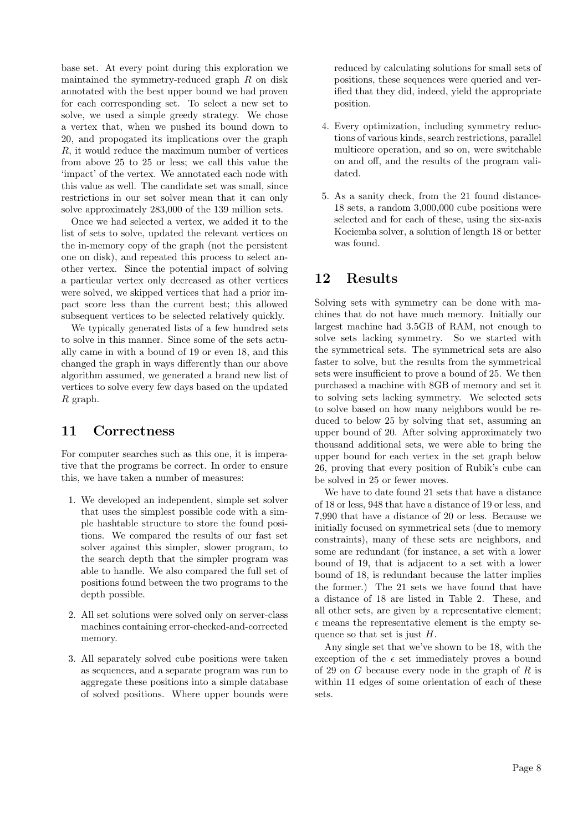base set. At every point during this exploration we maintained the symmetry-reduced graph  $R$  on disk annotated with the best upper bound we had proven for each corresponding set. To select a new set to solve, we used a simple greedy strategy. We chose a vertex that, when we pushed its bound down to 20, and propogated its implications over the graph R, it would reduce the maximum number of vertices from above 25 to 25 or less; we call this value the 'impact' of the vertex. We annotated each node with this value as well. The candidate set was small, since restrictions in our set solver mean that it can only solve approximately 283,000 of the 139 million sets.

Once we had selected a vertex, we added it to the list of sets to solve, updated the relevant vertices on the in-memory copy of the graph (not the persistent one on disk), and repeated this process to select another vertex. Since the potential impact of solving a particular vertex only decreased as other vertices were solved, we skipped vertices that had a prior impact score less than the current best; this allowed subsequent vertices to be selected relatively quickly.

We typically generated lists of a few hundred sets to solve in this manner. Since some of the sets actually came in with a bound of 19 or even 18, and this changed the graph in ways differently than our above algorithm assumed, we generated a brand new list of vertices to solve every few days based on the updated  $R$  graph.

#### 11 Correctness

For computer searches such as this one, it is imperative that the programs be correct. In order to ensure this, we have taken a number of measures:

- 1. We developed an independent, simple set solver that uses the simplest possible code with a simple hashtable structure to store the found positions. We compared the results of our fast set solver against this simpler, slower program, to the search depth that the simpler program was able to handle. We also compared the full set of positions found between the two programs to the depth possible.
- 2. All set solutions were solved only on server-class machines containing error-checked-and-corrected memory.
- 3. All separately solved cube positions were taken as sequences, and a separate program was run to aggregate these positions into a simple database of solved positions. Where upper bounds were

reduced by calculating solutions for small sets of positions, these sequences were queried and verified that they did, indeed, yield the appropriate position.

- 4. Every optimization, including symmetry reductions of various kinds, search restrictions, parallel multicore operation, and so on, were switchable on and off, and the results of the program validated.
- 5. As a sanity check, from the 21 found distance-18 sets, a random 3,000,000 cube positions were selected and for each of these, using the six-axis Kociemba solver, a solution of length 18 or better was found.

### 12 Results

Solving sets with symmetry can be done with machines that do not have much memory. Initially our largest machine had 3.5GB of RAM, not enough to solve sets lacking symmetry. So we started with the symmetrical sets. The symmetrical sets are also faster to solve, but the results from the symmetrical sets were insufficient to prove a bound of 25. We then purchased a machine with 8GB of memory and set it to solving sets lacking symmetry. We selected sets to solve based on how many neighbors would be reduced to below 25 by solving that set, assuming an upper bound of 20. After solving approximately two thousand additional sets, we were able to bring the upper bound for each vertex in the set graph below 26, proving that every position of Rubik's cube can be solved in 25 or fewer moves.

We have to date found 21 sets that have a distance of 18 or less, 948 that have a distance of 19 or less, and 7,990 that have a distance of 20 or less. Because we initially focused on symmetrical sets (due to memory constraints), many of these sets are neighbors, and some are redundant (for instance, a set with a lower bound of 19, that is adjacent to a set with a lower bound of 18, is redundant because the latter implies the former.) The 21 sets we have found that have a distance of 18 are listed in Table 2. These, and all other sets, are given by a representative element;  $\epsilon$  means the representative element is the empty sequence so that set is just  $H$ .

Any single set that we've shown to be 18, with the exception of the  $\epsilon$  set immediately proves a bound of 29 on  $G$  because every node in the graph of  $R$  is within 11 edges of some orientation of each of these sets.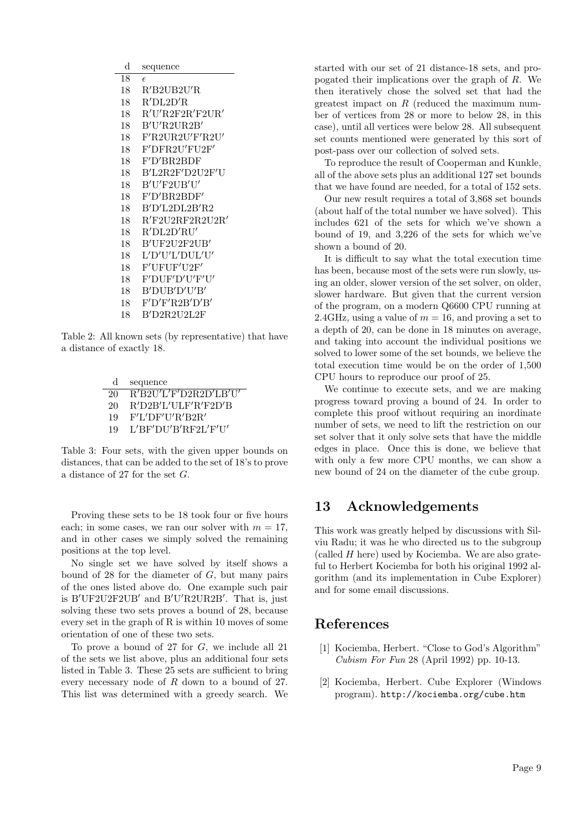| d  | sequence         |
|----|------------------|
| 18 | $\epsilon$       |
| 18 | $R'$ B2UB2U' $R$ |
| 18 | R'DL2D'R         |
| 18 | R'U'R2F2R'F2UR'  |
| 18 | B'U'R2UR2B'      |
| 18 | F'R2UR2U'F'R2U'  |
| 18 | F'DFR2U'FU2F'    |
| 18 | F'D'BR2BDF       |
| 18 | B'L2R2F'D2U2F'U  |
| 18 | B'U'F2UB'U'      |
| 18 | F'D'BR2BDF'      |
| 18 | B/D'L2DL2B'R2    |
| 18 | R'F2U2RF2R2U2R'  |
| 18 | R'DL2D'RU'       |
| 18 | B'UF2U2F2UB'     |
| 18 | L'D'U'L'DUL'U'   |
| 18 | F'UFUF'U2F'      |
| 18 | F'DUF'D'U'F'U'   |
| 18 | B'DUB'D'U'B'     |
| 18 | F'D'F'R2B'D'B'   |
| 18 | B'D2R2U2L2F      |

Table 2: All known sets (by representative) that have a distance of exactly 18.

| d. | sequence                 |
|----|--------------------------|
| 20 | $R'$ B2U'L'F'D2R2D'LB'U' |
| 20 | R/D2B'L'ULF'R'F2D'B      |
| 19 | F'I/DF'I/P'B'BB'         |
| 19 | L'BF'DU'B'RF2L'F'U'      |

Table 3: Four sets, with the given upper bounds on distances, that can be added to the set of 18's to prove a distance of 27 for the set G.

Proving these sets to be 18 took four or five hours each; in some cases, we ran our solver with  $m = 17$ , and in other cases we simply solved the remaining positions at the top level.

No single set we have solved by itself shows a bound of 28 for the diameter of  $G$ , but many pairs of the ones listed above do. One example such pair is B'UF2U2F2UB' and B'U'R2UR2B'. That is, just solving these two sets proves a bound of 28, because every set in the graph of R is within 10 moves of some orientation of one of these two sets.

To prove a bound of 27 for G, we include all 21 of the sets we list above, plus an additional four sets listed in Table 3. These 25 sets are sufficient to bring every necessary node of R down to a bound of 27. This list was determined with a greedy search. We

started with our set of 21 distance-18 sets, and propogated their implications over the graph of R. We then iteratively chose the solved set that had the greatest impact on R (reduced the maximum number of vertices from 28 or more to below 28, in this case), until all vertices were below 28. All subsequent set counts mentioned were generated by this sort of post-pass over our collection of solved sets.

To reproduce the result of Cooperman and Kunkle, all of the above sets plus an additional 127 set bounds that we have found are needed, for a total of 152 sets.

Our new result requires a total of 3,868 set bounds (about half of the total number we have solved). This includes 621 of the sets for which we've shown a bound of 19, and 3,226 of the sets for which we've shown a bound of 20.

It is difficult to say what the total execution time has been, because most of the sets were run slowly, using an older, slower version of the set solver, on older, slower hardware. But given that the current version of the program, on a modern Q6600 CPU running at 2.4GHz, using a value of  $m = 16$ , and proving a set to a depth of 20, can be done in 18 minutes on average, and taking into account the individual positions we solved to lower some of the set bounds, we believe the total execution time would be on the order of 1,500 CPU hours to reproduce our proof of 25.

We continue to execute sets, and we are making progress toward proving a bound of 24. In order to complete this proof without requiring an inordinate number of sets, we need to lift the restriction on our set solver that it only solve sets that have the middle edges in place. Once this is done, we believe that with only a few more CPU months, we can show a new bound of 24 on the diameter of the cube group.

#### 13 Acknowledgements

This work was greatly helped by discussions with Silviu Radu; it was he who directed us to the subgroup  $(called H here)$  used by Kociemba. We are also grateful to Herbert Kociemba for both his original 1992 algorithm (and its implementation in Cube Explorer) and for some email discussions.

#### References

- [1] Kociemba, Herbert. "Close to God's Algorithm" Cubism For Fun 28 (April 1992) pp. 10-13.
- [2] Kociemba, Herbert. Cube Explorer (Windows program). http://kociemba.org/cube.htm